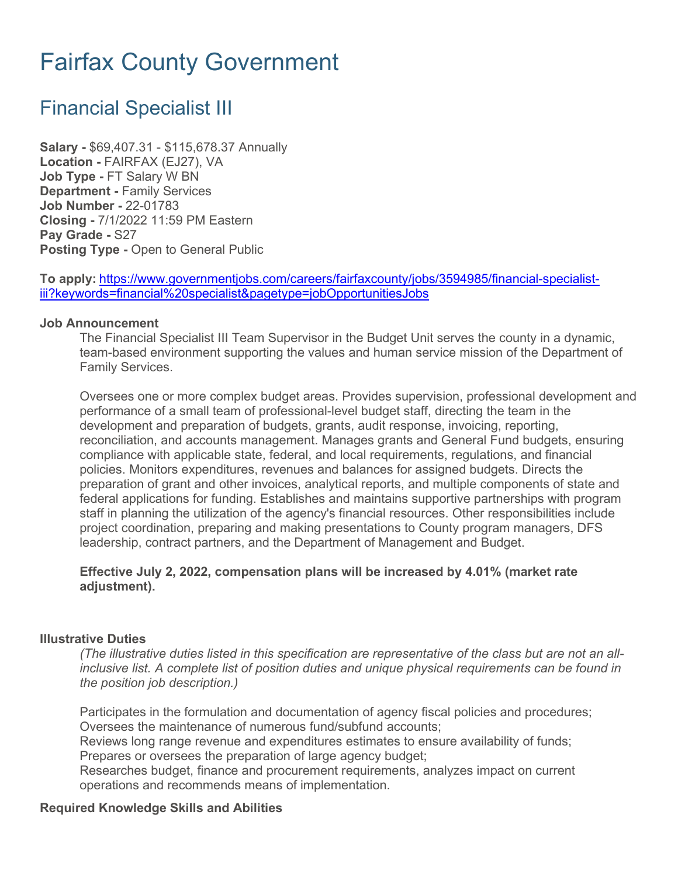# Fairfax County Government

# Financial Specialist III

**Salary -** \$69,407.31 - \$115,678.37 Annually **Location -** FAIRFAX (EJ27), VA **Job Type -** FT Salary W BN **Department -** Family Services **Job Number -** 22-01783 **Closing -** 7/1/2022 11:59 PM Eastern **Pay Grade -** S27 **Posting Type -** Open to General Public

**To apply:** https://www.governmentjobs.com/careers/fairfaxcounty/jobs/3594985/financial-specialistiii?keywords=financial%20specialist&pagetype=jobOpportunitiesJobs

#### **Job Announcement**

The Financial Specialist III Team Supervisor in the Budget Unit serves the county in a dynamic, team-based environment supporting the values and human service mission of the Department of Family Services.

Oversees one or more complex budget areas. Provides supervision, professional development and performance of a small team of professional-level budget staff, directing the team in the development and preparation of budgets, grants, audit response, invoicing, reporting, reconciliation, and accounts management. Manages grants and General Fund budgets, ensuring compliance with applicable state, federal, and local requirements, regulations, and financial policies. Monitors expenditures, revenues and balances for assigned budgets. Directs the preparation of grant and other invoices, analytical reports, and multiple components of state and federal applications for funding. Establishes and maintains supportive partnerships with program staff in planning the utilization of the agency's financial resources. Other responsibilities include project coordination, preparing and making presentations to County program managers, DFS leadership, contract partners, and the Department of Management and Budget.

#### **Effective July 2, 2022, compensation plans will be increased by 4.01% (market rate adjustment).**

#### **Illustrative Duties**

*(The illustrative duties listed in this specification are representative of the class but are not an allinclusive list. A complete list of position duties and unique physical requirements can be found in the position job description.)*

Participates in the formulation and documentation of agency fiscal policies and procedures; Oversees the maintenance of numerous fund/subfund accounts;

Reviews long range revenue and expenditures estimates to ensure availability of funds;

Prepares or oversees the preparation of large agency budget;

Researches budget, finance and procurement requirements, analyzes impact on current operations and recommends means of implementation.

#### **Required Knowledge Skills and Abilities**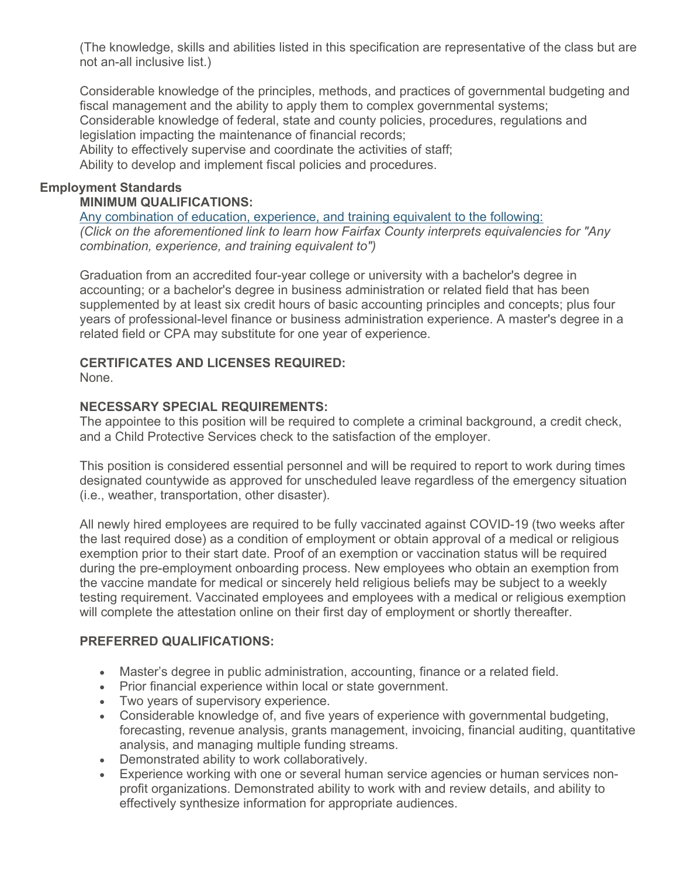(The knowledge, skills and abilities listed in this specification are representative of the class but are not an-all inclusive list.)

Considerable knowledge of the principles, methods, and practices of governmental budgeting and fiscal management and the ability to apply them to complex governmental systems; Considerable knowledge of federal, state and county policies, procedures, regulations and legislation impacting the maintenance of financial records; Ability to effectively supervise and coordinate the activities of staff; Ability to develop and implement fiscal policies and procedures.

# **Employment Standards**

# **MINIMUM QUALIFICATIONS:**

Any combination of education, experience, and training equivalent to the following: *(Click on the aforementioned link to learn how Fairfax County interprets equivalencies for "Any combination, experience, and training equivalent to")*

Graduation from an accredited four-year college or university with a bachelor's degree in accounting; or a bachelor's degree in business administration or related field that has been supplemented by at least six credit hours of basic accounting principles and concepts; plus four years of professional-level finance or business administration experience. A master's degree in a related field or CPA may substitute for one year of experience.

# **CERTIFICATES AND LICENSES REQUIRED:**

None.

# **NECESSARY SPECIAL REQUIREMENTS:**

The appointee to this position will be required to complete a criminal background, a credit check, and a Child Protective Services check to the satisfaction of the employer.

This position is considered essential personnel and will be required to report to work during times designated countywide as approved for unscheduled leave regardless of the emergency situation (i.e., weather, transportation, other disaster).

All newly hired employees are required to be fully vaccinated against COVID-19 (two weeks after the last required dose) as a condition of employment or obtain approval of a medical or religious exemption prior to their start date. Proof of an exemption or vaccination status will be required during the pre-employment onboarding process. New employees who obtain an exemption from the vaccine mandate for medical or sincerely held religious beliefs may be subject to a weekly testing requirement. Vaccinated employees and employees with a medical or religious exemption will complete the attestation online on their first day of employment or shortly thereafter.

# **PREFERRED QUALIFICATIONS:**

- Master's degree in public administration, accounting, finance or a related field.
- Prior financial experience within local or state government.
- Two years of supervisory experience.
- Considerable knowledge of, and five years of experience with governmental budgeting, forecasting, revenue analysis, grants management, invoicing, financial auditing, quantitative analysis, and managing multiple funding streams.
- Demonstrated ability to work collaboratively.
- Experience working with one or several human service agencies or human services nonprofit organizations. Demonstrated ability to work with and review details, and ability to effectively synthesize information for appropriate audiences.